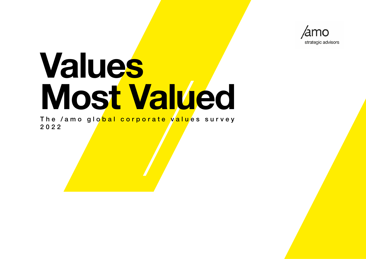

# **Values Most Valued**

The /amo glo<mark>bal corporate valu</mark>es survey 2022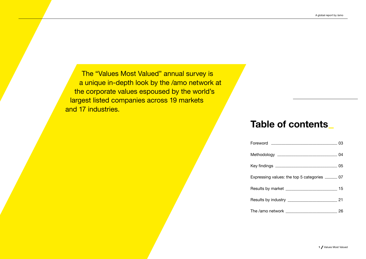The "Values Most Valued" annual survey is a unique in-depth look by the /amo network at the corporate values espoused by the world's largest listed companies across 19 markets and 17 industries.

# Table of contents—

| Expressing values: the top 5 categories ______ 07    |    |
|------------------------------------------------------|----|
| Results by market _______________________________ 15 |    |
| Results by industry ___________________________      | 21 |
|                                                      | 26 |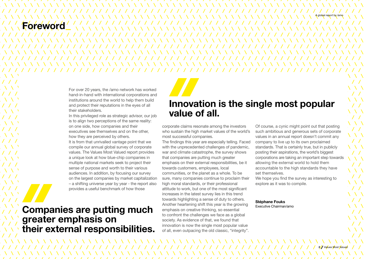# Forewor

For over 20 years, the /amo network has worked hand-in-hand with international corporations and institutions around the world to help them build and protect their reputations in the eyes of all their stakeholders.

In this privileged role as strategic advisor, our job is to align two perceptions of the same reality: on one side, how companies and their executives see themselves and on the other, how they are perceived by others.

It is from that unrivalled vantage point that we compile our annual global survey of corporate values. The Values Most Valued report provides a unique look at how blue-chip companies in multiple national markets seek to project their sense of purpose and worth to their various audiences. In addition, by focusing our survey on the largest companies by market capitalization – a shifting universe year by year - the report also provides a useful benchmark of how those

# Companies are putting much<br>mphasis on creative thinking, so essential greater emphasis on their external responsibilities.

# Innovation is the single most popular value of all.

corporate claims resonate among the investors who sustain the high market values of the world's most successful companies.

The findings this year are especially telling. Faced with the unprecedented challenges of pandemic, war and climate catastrophe, the survey shows that companies are putting much greater emphasis on their external responsibilities, be it towards customers, employees, local communities, or the planet as a whole. To be sure, many companies continue to proclaim their high moral standards, or their professional attitude to work, but one of the most significant increases in the latest survey lies in this trend towards highlighting a sense of duty to others. Another heartening shift this year is the growing emphasis on creative thinking, so essential to confront the challenges we face as a global society. As evidence of that, we found that innovation is now the single most popular value of all, even outpacing the old classic, "integrity".

Of course, a cynic might point out that posting such ambitious and generous sets of corporate values in an annual report doesn't commit any company to live up to its own proclaimed standards. That is certainly true, but in publicly posting their aspirations, the world's biggest corporations are taking an important step towards allowing the external world to hold them accountable to the high standards they have set themselves.

We hope you find the survey as interesting to explore as it was to compile.

# Stéphane Fouks

A global report by /amo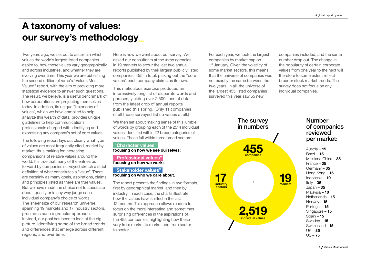# A taxonomy of values: our survey's methodology

Two years ago, we set out to ascertain which values the world's largest listed companies aspire to, how those values vary geographically and across industries, and whether they are evolving over time. This year we are publishing the second edition of /amo's "Values Most Valued" report, with the aim of providing more statistical evidence to answer such questions. The result, we believe, is a useful benchmark of how corporations are projecting themselves today. In addition, its unique "taxonomy of values", which we have compiled to help analyze this wealth of data, provides unique guidelines to help communications professionals charged with identifying and expressing any company's set of core values.

The following report lays out clearly what type of values are most frequently cited, market by market, thus making for interesting comparisons of relative values around the world. It's true that many of the entries put forward by companies surveyed stretch a strict definition of what constitutes a "value". There are certainly as many goals, aspirations, claims and principles listed as there are true values. But we have made the choice not to speculate about, qualify or in any way judge each individual company's choice of words. The sheer size of our research universe, spanning 19 markets and 17 industry sectors, precludes such a granular approach. Instead, our goal has been to look at the big picture, identifying some of the broad trends and differences that emerge across different regions, and over time.

Here is how we went about our survey: We asked our consultants at the /amo agencies in 19 markets to scour the last two annual reports published by their largest publicly listed companies, 455 in total, picking out the "core values" each company claims as its own.

This meticulous exercise produced an impressively long list of disparate words and phrases, yielding over 2,500 lines of data from the latest crop of annual reports published this spring. (Only 11 companies of all those surveyed list no values at all.)

We then set about making sense of this jumble of words by grouping each of the 2514 individual values identified within 22 broad categories of values. These fall within three broad sectors:

#### "Character values"

focusing on how we see ourselves;

#### "Professional values" focusing on how we work;

### "Stakeholder values" focusing on who we care about.

The report presents the findings in two formats, first by geographical market, and then by industry. In each case, the charts illustrate how the values have shifted in the last 12 months. This approach allows readers to focus on the more interesting and sometimes surprising differences in the aspirations of the 455 companies, highlighting how these vary from market to market and from sector to sector.

For each year, we took the largest companies by market cap on 1<sup>st</sup> January. Given the volatility of some market sectors, this means that the universe of companies was not exactly the same between the two years. In all, the universe of the largest 455 listed companies surveyed this year saw 55 new

companies included, and the same number drop out. The change in the popularity of certain corporate values from one year to the next will therefore to some extent reflect broader stock market trends. The survey does not focus on any individual companies.



## Number of companies reviewed per market:

Austria –  $15$ Brazil – 15 Mainland China – 35 France – 35 Germany – 35 Hong Kong - **15** Indonesia – 10 Italy  $-35$ Japan –  $35$ Malaysia – 10 Netherlands - 15 Norway – 15 Portugal – 15 Singapore - 15 Spain – 15 Sweden – 15 Switzerland - 15  $UK - 35$  $US - 75$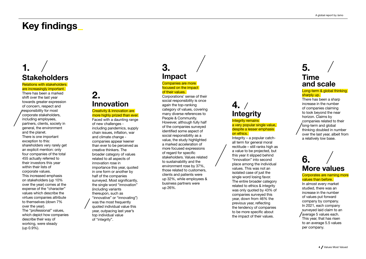# Key findings —

# 1. **Stakeholders**

Relations with stakeholders

#### are increasingly important. There has been a marked shift over the last year towards greater expression of concern, respect and responsibility for most corporate stakeholders, including employees, partners, clients, society in general, the environment and the planet. There is one important exception to this: shareholders very rarely get an explicit mention: only four companies of the total 455 actually referred to their investors this year within their lists of corporate values. This increased emphasis on stakeholders (up 10% over the year) comes at the expense of the "character" values which describe the virtues companies attribute to themselves (down 7% over the year). The "professional" values, which depict how companies describe their way of working, were steady (up 0.9%).

# 2. Innovation

#### **Creativity & innovation are** more highly prized than ever.

Faced with a daunting range of new challenges including pandemics, supply chain issues, inflation, war and climate change companies appear keener than ever to be perceived as creative thinkers. The broader category of values related to all aspects of innovation rose in importance this year, quoted in one form or another by half of the companies surveyed. Most significantly, the single word "innovation" (including variants thereupon, such as "innovative" or "innovating") was the most frequently quoted individual value this year, outpacing last year's top individual value of "integrity".

# 3. Impact

#### Companies are more focused on the impact of their values.

Corporations' sense of their social responsibility is once again the top-ranking category of values, covering many diverse references to People & Community. However, although fully half of the companies surveyed identified some aspect of social responsibility as a value, the study highlighted a marked acceleration of more focused expressions of regard for specific stakeholders. Values related to sustainability and the environment rose by 37%, those related to customers, clients and patients were up 32%, while employees & business partners were up 26%.

# $4.7$ **Integrity**

Integrity remains a very popular single value. despite a lesser emphasis on ethics.

Integrity – a popular catchall term for general moral rectitude – still ranks high as a value to be projected, but this year it slipped behind "innovation" into second place among the individual values. This was not an isolated case of just the single word losing favor. The entire broader category related to ethics & integrity was only quoted by 43% of companies surveyed this year, down from 46% the previous year, reflecting the tendency of companies to be more specific about the impact of their values.

# 5. Time and scale

#### Long-term & global thinking sharply up.

There has been a sharp increase in the number of companies claiming to look beyond the near horizon. Claims by companies related to their Iong-term and global thinking doubled in number over the last year, albeit from a relatively low base.

# 6. More values

#### Corporates are naming more values than before.

In almost every market studied, there was an increase in the number of values put forward company by company. In 2021, each company surveyed laid claim to an average 5 values each. This year, that has risen to an average 5.5 values per company.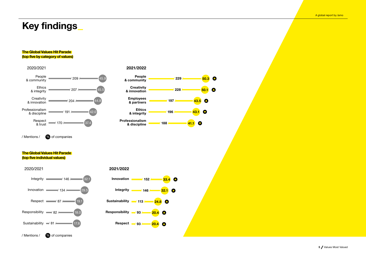# Key findings—

#### The Global Values Hit Parade (top five by category of values)



/ Mentions / % of companies

#### The Global Values Hit Parade (top five individual values)





2021/2022

People & community **Creativity** & innovation Employees & partners Ethics & integrity Professionalism & discipline

50.1

 $\bullet$ 

 $\bullet$ 

50.3

 $\bullet$ 

 $\bullet$ 

 $43.5$ 

 $\bullet$ 

43.1

41.1

229

/ 228 /

/ 197 /

/ 196 /

/ 188 /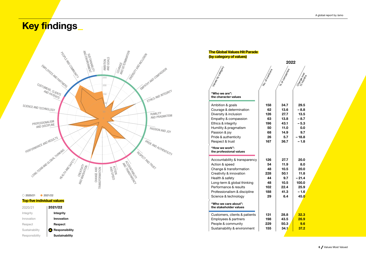# <mark>Key fi</mark>ndings\_



#### Top five individual values

| 2020/21        | 2021/22               |
|----------------|-----------------------|
| Integrity      | Integrity             |
| Innovation     | Innovation            |
| Respect        | Respect               |
| Sustainability | Responsibility        |
| Responsibility | <b>Sustainability</b> |

#### The Global Values Hit Parade (by category of values)

|                                                                                                                                                                                                                                                                  |                                                        | 2022                                                                |                                                                              |
|------------------------------------------------------------------------------------------------------------------------------------------------------------------------------------------------------------------------------------------------------------------|--------------------------------------------------------|---------------------------------------------------------------------|------------------------------------------------------------------------------|
| Ialies by Category                                                                                                                                                                                                                                               | No. or members                                         | % or company.                                                       | Change over                                                                  |
| "Who we are":<br>the character values                                                                                                                                                                                                                            |                                                        |                                                                     |                                                                              |
| Ambition & goals<br>Courage & determination<br>Diversity & inclusion<br>Empathy & compassion<br>Ethics & integrity<br>Humility & pragmatism<br>Passion & joy<br>Pride & authenticity<br>Respect & trust<br>"How we work":<br>the professional values             | 158<br>62<br>126<br>63<br>196<br>50<br>68<br>26<br>167 | 34.7<br>13.6<br>27.7<br>13.8<br>43.1<br>11.0<br>14.9<br>5.7<br>36.7 | 29.5<br>$-8.8$<br>13.5<br>$-8.7$<br>$-5.3$<br>0.0<br>9.7<br>$-18.8$<br>- 1.8 |
| Accountability & transparency<br>Action & speed<br>Change & transformation<br>Creativity & innovation<br>Health & safety<br>Long-term & global thinking<br>Performance & results<br>Professionalism & discipline<br>Science & technology<br>"Who we care about": | 126<br>54<br>48<br>228<br>44<br>48<br>102<br>188<br>29 | 27.7<br>11.9<br>10.5<br>50.1<br>9.7<br>10.5<br>22.4<br>41.3<br>6.4  | 20.0<br>8.0<br>20.0<br>11.8<br>$-21.4$<br>100.0<br>25.9<br>$-1.6$<br>45.0    |
| the stakeholder values<br>Customers, clients & patients<br>Employees & partners<br>People & community<br>Sustainability & environment                                                                                                                            | 131<br>198<br>229<br>155                               | 28.8<br>43.5<br>50.3<br>34.1                                        | 32.3<br>26.9<br>9.6<br>37.2                                                  |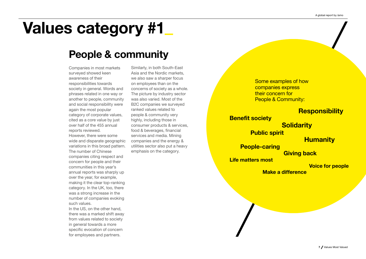# Values category #1—

# People & community

Companies in most markets surveyed showed keen awareness of their responsibilities towards society in general. Words and phrases related in one way or another to people, community and social responsibility were again the most popular category of corporate values, cited as a core value by just over half of the 455 annual reports reviewed. However, there were some wide and disparate geographic variations in this broad pattern. The number of Chinese companies citing respect and concern for people and their communities in this year's annual reports was sharply up over the year, for example, making it the clear top-ranking category. In the UK, too, there was a strong increase in the number of companies evoking such values. In the US, on the other hand,

there was a marked shift away from values related to society in general towards a more specific evocation of concern for employees and partners.

Similarly, in both South-East Asia and the Nordic markets, we also saw a sharper focus on employees than on the concerns of society as a whole. The picture by industry sector was also varied. Most of the B2C companies we surveyed ranked values related to people & community very highly, including those in consumer products & services, food & beverages, financial services and media. Mining companies and the energy & utilities sector also put a heavy emphasis on the category.

Some examples of how companies express their concern for People & Community:

## **Responsibility**

Benefit society

**Solidarity** 

Public spirit

## **Humanity**

People-caring Giving back

Life matters most

### Voice for people

Make a difference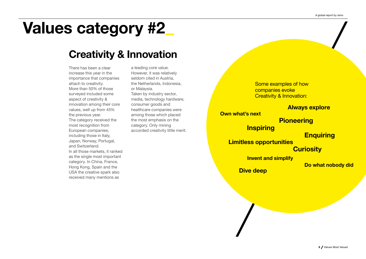# Values category #2—

# Creativity & Innovation

There has been a clear increase this year in the importance that companies attach to creativity. More than 50% of those surveyed included some aspect of creativity & innovation among their core values, well up from 45% the previous year. The category received the most recognition from European companies, including those in Italy, Japan, Norway, Portugal, and Switzerland. In all those markets, it ranked as the single most important category. In China, France, Hong Kong, Spain and the USA the creative spark also received many mentions as

a leading core value. However, it was relatively seldom cited in Austria, the Netherlands, Indonesia, or Malaysia. Taken by industry sector, media, technology hardware, consumer goods and healthcare companies were among those which placed the most emphasis on the category. Only mining accorded creativity little merit.

Some examples of how companies evoke Creativity & Innovation:

### Always explore

Own what's next

**Pioneering** 

**Inspiring** 

**Enquiring** 

Limitless opportunities

### **Curiosity**

Invent and simplify

Do what nobody did

Dive deep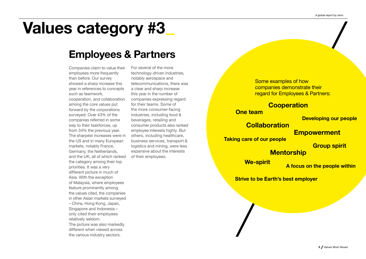# Values category #3—

# Employees & Partners

Companies claim to value their employees more frequently than before. Our survey showed a sharp increase this year in references to concepts such as teamwork, cooperation, and collaboration among the core values put forward by the corporations surveyed. Over 43% of the companies referred in some way to their taskforces, up from 34% the previous year. The sharpest increases were in the US and in many European markets, notably France, Germany, the Netherlands, and the UK, all of which ranked the category among their top priorities. It was a very different picture in much of Asia. With the exception of Malaysia, where employees feature prominently among the values cited, the companies in other Asian markets surveyed – China, Hong Kong, Japan, Singapore and Indonesia – only cited their employees relatively seldom. The picture was also markedly different when viewed across

the various industry sectors.

For several of the more technology-driven industries, notably aerospace and telecommunications, there was a clear and sharp increase this year in the number of companies expressing regard for their teams. Some of the more consumer-facing industries, including food & beverages, retailing and consumer products also ranked employee interests highly. But others, including healthcare, business services, transport & logistics and mining, were less expansive about the interests of their employees.

Some examples of how companies demonstrate their regard for Employees & Partners:

## **Cooperation**

One team

Developing our people

# **Collaboration**

**Empowerment** 

Taking care of our people

Group spirit

**Mentorship** 

We-spirit **A** focus on the people within

Strive to be Earth's best employer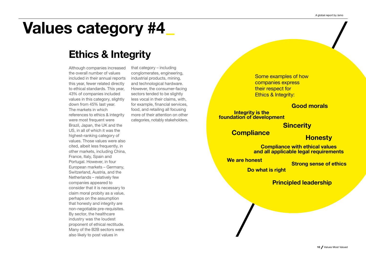# Values category #4

# Ethics & Integrity

Although companies increased the overall number of values included in their annual reports this year, fewer related directly to ethical standards. This year, 43% of companies included values in this category, slightly down from 45% last year. The markets in which references to ethics & integrity were most frequent were Brazil, Japan, the UK and the US, in all of which it was the highest-ranking category of values. Those values were also cited, albeit less frequently, in other markets, including China, France, Italy, Spain and Portugal. However, in four European markets – Germany, Switzerland, Austria, and the Netherlands – relatively few companies appeared to consider that it is necessary to claim moral probity as a value, perhaps on the assumption that honesty and integrity are non-negotiable pre-requisites. By sector, the healthcare industry was the loudest proponent of ethical rectitude. Many of the B2B sectors were also likely to post values in

that category – including conglomerates, engineering, industrial products, mining, and technological hardware. However, the consumer-facing sectors tended to be slightly less vocal in their claims, with, for example, financial services, food, and retailing all focusing more of their attention on other categories, notably stakeholders.

Some examples of how companies express their respect for Ethics & Integrity:

## Good morals

Integrity is the foundation of development

**Sincerity** 

Compliance Honesty

Compliance with ethical values and all applicable legal requirements

We are honest Strong sense of ethics

Do what is right

Principled leadership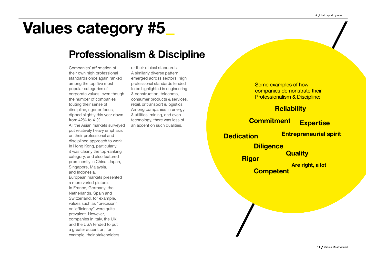# Values category #5—

# Professionalism & Discipline

Companies' affirmation of their own high professional standards once again ranked among the top five most popular categories of corporate values, even though the number of companies touting their sense of discipline, rigor or focus, dipped slightly this year down from 42% to 41%. All the Asian markets surveyed put relatively heavy emphasis on their professional and disciplined approach to work. In Hong Kong, particularly, it was clearly the top-ranking category, and also featured prominently in China, Japan, Singapore, Malaysia, and Indonesia. European markets presented a more varied picture. In France, Germany, the Netherlands, Spain and Switzerland, for example, values such as "precision" or "efficiency" were quite prevalent. However, companies in Italy, the UK and the USA tended to put a greater accent on, for example, their stakeholders

or their ethical standards. A similarly diverse pattern emerged across sectors: high professional standards tended to be highlighted in engineering & construction, telecoms, consumer products & services, retail, or transport & logistics. Among companies in energy & utilities, mining, and even technology, there was less of an accent on such qualities.

Some examples of how companies demonstrate their Professionalism & Discipline:

# **Reliability**

# Commitment Expertise

Dedication Entrepreneurial spirit

**Diligence Rigor** Quality

> Are right, a lot **Competent**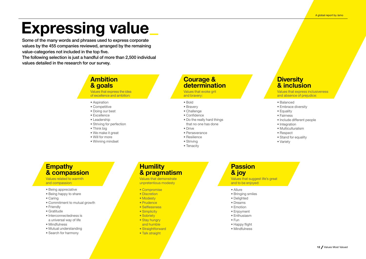# **Expressing value**

Some of the many words and phrases used to express corporate values by the 455 companies reviewed, arranged by the remaining value-categories not included in the top five.

The following selection is just a handful of more than 2,500 individual values detailed in the research for our survey.

## **Ambition** & goals

Values that express the idea of excellence and ambition:

- Aspiration
- Competitive
- Doing our best
- Excellence
- Leadership
- Striving for perfection
- Think big
- We make it great
- Will for more
- Winning mindset

## Courage & determination

Values that evoke grit and bravery:

- Bold
- Bravery
- Challenge
- Confidence
- Do the really hard things that no one has done
- Drive
- Perseverance
- Resilience
- Striving
- Tenacity

## **Diversity** & inclusion

Values that express inclusiveness and absence of prejudice:

#### • Balanced

- Embrace diversity
- Equality
- Fairness
- Include different people
- Integration
- Multiculturalism
- Respect
- Stand for equality
- Variety

## **Empathy** & compassion

Values related to warmth and compassion:

- Being appreciative
- Being happy to share
- Caring
- Commitment to mutual growth
- Friendly
- Gratitude
- Interconnectedness is
- a universal way of life
- Mindfulness
- Mutual understanding
- Search for harmony

## **Humility** & pragmatism

Values that demonstrate unpretentious modesty

- Compromise
- Discretion
- Modesty
- Prudence
- Selflessness
- Simplicity
- Sobriety
- Stay hungry
- and humble
- Straightforward
- Talk straight

## Passion & joy

Values that suggest life's great and to be enjoyed:

• Allure

- Bringing smiles
- Delighted
- Dreams
- Emotion
- Enjoyment
- Enthusiasm
- Fun
- Happy flight
- Mindfulness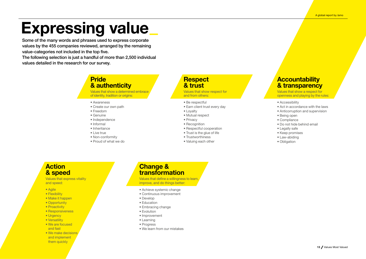# Expressing value

Some of the many words and phrases used to express corporate values by the 455 companies reviewed, arranged by the remaining value-categories not included in the top five.

The following selection is just a handful of more than 2,500 individual values detailed in the research for our survey.

> Pride & authenticity

Values that show a determined embrace of identity, tradition or origins:

- Awareness
- Create our own path
- Freedom
- Genuine
- Independence
- Informal
- Inheritance
- Live true
- Non-conformity
- Proud of what we do

## **Respect** & trust

Values that show respect for and from others:

- Be respectful
- Earn client trust every day
- Loyalty
- Mutual respect
- Privacy
- Recognition
- Respectful cooperation
- Trust is the glue of life
- 
- Trustworthiness
- Valuing each other

## **Accountability** & transparency

Values that show a respect for openness and playing by the rules:

- Accessibility
- Act in accordance with the laws
- Anticorruption and supervision
- Being open
- Compliance
- Do not hide behind email
- Legally safe
- Keep promises
- Law-abiding
- Obligation

## **Action** & speed

Values that express vitality and speed:

- Agile
- Flexibility
- Make it happen
- Opportunity
- Proactivity
- Responsiveness
- Urgency
- Versatility
- We are focused and fast
- We make decisions and implement them quickly

# Change & transformation

Values that define a willingness to learn, improve, and do things better:

- Achieve systemic change
- Continuous improvement
- Develop
- Education
- Embracing change
- Evolution
- Improvement
- Learning
- Progress
- We learn from our mistakes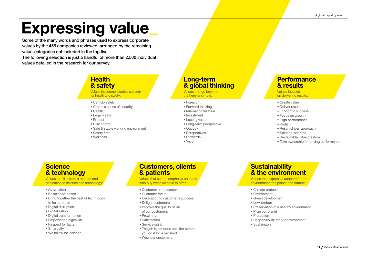# Expressing value—

Some of the many words and phrases used to express corporate values by the 455 companies reviewed, arranged by the remaining value-categories not included in the top five.

The following selection is just a handful of more than 2,500 individual values detailed in the research for our survey.

## **Health** & safety

Values that demonstrate a concern for health and safety:

- Can-do safely
- Create a sense of security
- Health
- Legally safe
- Protect
- Risk control
- Safe & stable working environment
- Safety first
- Wellness

## Long-term & global thinking

Values that go beyond the here-and-now:

- Foresight
- Forward thinking
- Internationalization
- Investment
- Lasting value
- Long-term perspective
- Outlook
- Perspectives
- Stewards
- Vision

## **Performance** & results

Values focused on delivering results:

- Create value
- Deliver results
- Economic success
- Focus on growth
- High performance
- Profit
	- Result-driven approach
- Solution-oriented
- Sustainable value creation
- Take ownership for driving performance

## **Science** & technology

Values that illustrate a respect and dedication to science and technology

- Automation
- Be science-based
- Bring together the best of technology to help people
- Digital disruption
- Digitalization
- Digital transformation
- Empowering digital life
- Respect for facts
- Smart city
- We follow the science

## Customers, clients & patients

Values that set the emphasis on those who buy what we have to offer:

- Customer at the center
- Customer focus
- Dedication to customer's success
- Delight customers
- Improve the quality of life of our customers
- Proximity
- Satisfaction
- Service spirit
- The job is not done until the person you do it for is satisfied
- Wow our customers

## **Sustainability** & the environment

Values that express a concern for the environment, the planet and nature:

- Climate protection
- Environment
- Green development
- Low-carbon
- Preservation of a healthy environment
- Prize our planet
- Protection
- Responsibility for our environment
- Sustainable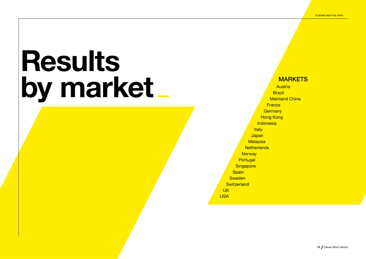**MARKETS Austria Brazil** Mainland China **France Germany Hong Kong Indonesia Italy Japan Malaysia Netherlands Norway Portugal Singapore Spain Sweden Switzerland** UK USA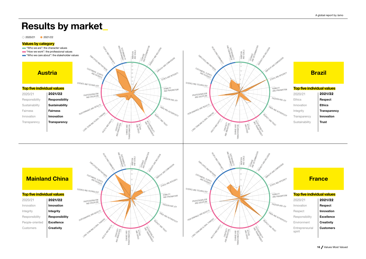#### 2020/21 2021/22

#### Values by category

- "Who we are": the character values
- "How we work": the professional values
- **Who we care about**": the stakeholder values





## Mainland China

#### Top five individual values

2021/22 2020/21 Innovation Integrity Responsibility Excellence **Creativity** Innovation Integrity Responsibility People-oriented Customers





## **France**

#### Top five individual values

| 2020/21                   | 2021/22           |
|---------------------------|-------------------|
| Innovation                | Respect           |
| Respect                   | Innovation        |
| Responsibility            | <b>Excellence</b> |
| Environment               | Creativity        |
| Entrepreneurial<br>spirit | <b>Customers</b>  |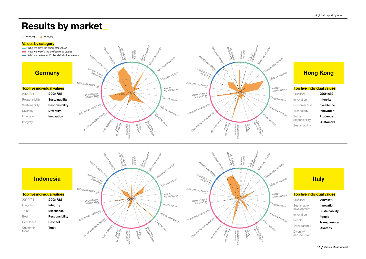#### 2020/21 2021/22

#### Values by category

- "Who we are": the character values
- **"How we work": the professional values**
- **Who we care about**": the stakeholder values



Innovation Innovation

Integrity

SUSTAINABILITY COURAGE<br>AND DETERMINATION<br>. SUSTAINABILITY COURAGE<br>AND DETERMINATION<br>. PEOPLE AND COMMUNITY **REGALE AND COMMUNITY** O NERSTA MONTECON D NERSTAND AND NOTE AMBITION AND GOALS AMBITION AND GOALS <sup>EMPLOYEES AND PARTNERS</sub><br>TOMA<sub>C</sub></sup> <sup>EMPLOYEES AND PARTNERS</sub><br>TOMA<sub>C</sub></sup> EMPATHY AND COMPASSION EMPATHY AND COMPASSION 30 8 25 CUSTOMERS, CLIENTS CUSTOMERS, CLIENTS ETHICS AND INTEGRITY AND PATIENTS 20 AND PATIENTS 4 15 SCIENCE AND TECHNOLOGY SCIENCE AND TECHNOLOGY 10 HUMILITY AND PRAGMATISM 1 0 0 PROFESSIONALISM AND DISCIPLINE PROFESSIONALISM AND DISCIPLINE PASSION AND JOY INCE AND RESULTS **INCE AND RESULTS** PRIDE AND AUTHENTICITY RESPECT AND TRUST LONG-TERM AND GLOBAL THINKING RESPECT AND TRUST LONG-TERM AND GLOBAL THINKING **HEALTH AND SAFETY** HEALTH AND STREET ACCOUNTABILITY OF ACCOUNTABILITY OF AND INNOVATION<br>KLINIONATION<br>MOLATION CHANGE AND<br>TRANSFORMATION CHANGE AND<br>ISFORMATION **AND SPEED AND SPEED** CHANGE AND TRANSFORMATION CHANGE AND TRANSFORMATION

## **Hong Kong**

#### Top five individual values

2021/22 2020/21 Integrity Excellence Innovation Prudence Customers Innovation Customer first **Technology** Social responsibility Sustainability

**E AND AUTHENTICITY** 

PASSION AND JOY

HUMILITY AND PRAGMATISM

ETHICS AND INTEGRITY

# Indonesia

2021/22 2020/21 Integrity Excellence Responsibility Respect Trust Integrity Trust Best Excellence Customer focus





## **Italy**

| 2020/21                    | 2021/22             |
|----------------------------|---------------------|
| Sustainable                | Innovation          |
| development                | Sustainability      |
| Innovation                 | People              |
| People                     | <b>Transparency</b> |
| Transparency               | Diversity           |
| Diversity<br>and inclusion |                     |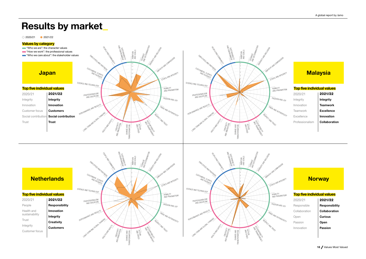#### 2020/21 2021/22





| People         | Responsib        |
|----------------|------------------|
| Health and     | Innovation       |
| sustainability | Integrity        |
| Trust          | Creativity       |
| Integrity      | <b>Customers</b> |
| Customer focus |                  |





| 2020/21       | 2021/22        |
|---------------|----------------|
| Responsible   | Responsibility |
| Collaboration | Collaboration  |
| Open          | <b>Curious</b> |
| Passion       | Open           |
| Innovation    | Passion        |
|               |                |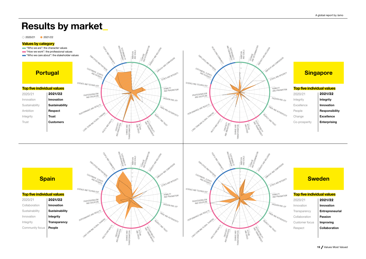#### 2020/21 2021/22

#### Values by category



## **Spain**

| 2020/21         | 2021/22             |
|-----------------|---------------------|
| Collaboration   | Innovation          |
| Sustainability  | Sustainability      |
| Innovation      | Integrity           |
| Integrity       | <b>Transparency</b> |
| Community focus | People              |





# **Sweden**

| 2020/21        | 2021/22         |
|----------------|-----------------|
| Innovation     | Innovation      |
| Transparency   | Entrepreneurial |
| Collaboration  | Passion         |
| Customer focus | Improving       |
| Respect        | Collaboration   |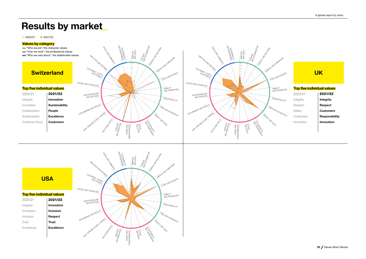#### 2020/21 2021/22

#### Values by category

- **Who we are": the character values**
- **EXECUTE:** "How we work": the professional values
- **Who we care about**": the stakeholder values



Innovation Sustainability People Excellence Customers







£

SUSTAINABILITY COURAGE<br>AND DETERMINATION<br>CONTERMINATION REGALE AND COMMUNITY DIVERSITY AND INCLUSION AMBITION AND GOALS EMPLOYEES AND PARTNERS EMPATHY AND COMPASSION 45 40 CUSTOMERS, CLIENTS 35 ETHICS AND INTEGRITY AND PATIENTS 30 25 20 SCIENCE AND TECHNOLOGY HUMILITY AND PRAGMATISM 2021/22 PROFESSIONALISM AND DISCIPLINE PASSION AND JOY Innovation **MANCE AND RESULTS** PRIDE AND AUTHENTICITY Unit: TERM AND GLOBAL THINKING RESPECT AND TRUST Excellence ACCOUNTABILITY KALTA MADO AND INNOVATIUM TYPE<br>KLINILONIN ON B CHANGE AND<br>TRANSFORMATION **AND SPEED** CHANGE AND TRANSFORMATION

# **USA**

#### Top five individual values

Integrity Innovation Inclusion Trust Excellence Inclusion Respect Trust 2020/21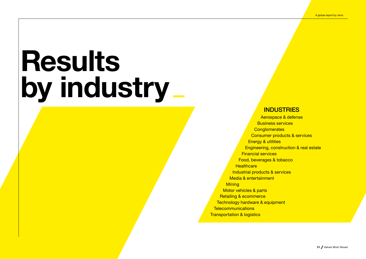## **INDUSTRIES**

Aerospace & defense Business services **Conglomerates** Consumer products & services Energy & utilities Engineering, construction & real estate Financial services Food, beverages & tobacco **Healthcare** Industrial products & services Media & entertainment **Mining** Motor vehicles & parts Retailing & ecommerce Technology hardware & equipment **Telecommunications Transportation & logistics**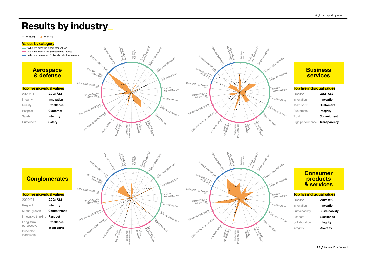#### 2020/21 2021/22

#### Values by category

- "Who we are": the character values
- **"How we work": the professional values**
- **Who we care about**": the stakeholder values



Integrity Safety

Safety Customers



# **Conglomerates**

Respect Mutual growth Innovative thinking Long-term perspective Principled leadership Integrity Commitment Respect Excellence Team spirit 2021/22 2020/21





### **Consumer** products & services

| 2020/21        | 2021/22           |
|----------------|-------------------|
| Innovation     | Innovation        |
| Sustainability | Sustainability    |
| Respect        | <b>Excellence</b> |
| Collaboration  | Integrity         |
| Integrity      | <b>Diversity</b>  |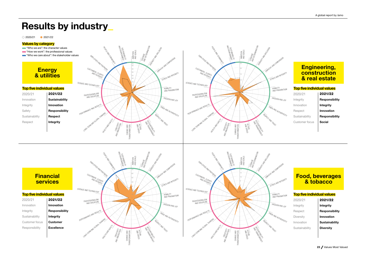#### 2020/21 2021/22

#### Values by category

- "Who we are": the character values
- "How we work": the professional values
- **Who we care about**": the stakeholder values



Safety Sustainability Responsibility Respect

Respect Integrity



## **Financial** services

#### Top five individual values

Innovation Integrity **Sustainability** Customer focus Responsibility Innovation Responsibility **Integrity** Customer Excellence 2021/22 2020/21





# **construction** & real estate

#### Top five individual values

| /21       | 2021/22        |
|-----------|----------------|
| ity       | Responsibility |
| ation     | Integrity      |
| ect       | Innovation     |
| inability | Responsibility |
| mer focus | Social         |
|           |                |

### Food, beverages & tobacco

#### Top five individual values

| 2020/21        | 2021/22        |
|----------------|----------------|
| Integrity      | Integrity      |
| Respect        | Responsibility |
| Diversity      | Innovation     |
| Innovation     | Sustainability |
| Sustainability | Diversity      |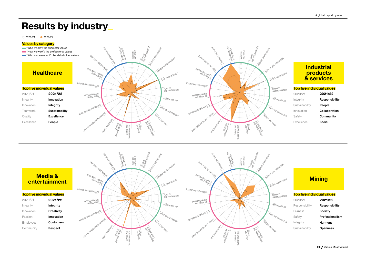#### 2020/21 2021/22

#### Values by category

- "Who we are": the character values
- "How we work": the professional values
- **Who we care about**": the stakeholder values



Integrity Sustainability Excellence People

Integrity Innovation Teamwork Quality Excellence



### **Industrial** products & services

#### Top five individual values

| 2020/21        | 2021/22        |
|----------------|----------------|
| Integrity      | Responsibility |
| Sustainability | People         |
| Innovation     | Collaboration  |
| Safety         | Community      |
| Excellence     | Social         |
|                |                |

## Media & entertainment

- Top five individual values
- Integrity **Creativity** Innovation **Customers** Respect Integrity Innovation Passion Employees Community 2021/22 2020/21





## **Mining**

#### Top five individual values

| 2020/21        | 2021/22         |
|----------------|-----------------|
| Responsibility | Responsibility  |
| Fairness       | Society         |
| Safety         | Professionalism |
| Integrity      | Harmony         |
| Sustainability | <b>Openness</b> |
|                |                 |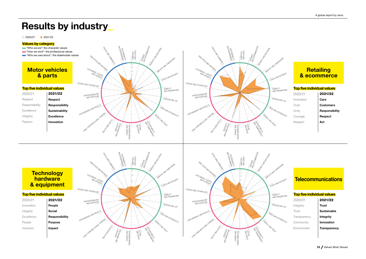#### 2020/21 2021/22

#### Values by category

- "Who we are": the character values
- **"How we work": the professional values**
- **Who we care about**": the stakeholder values



Respect Responsibility Excellence Integrity

Passion

Responsibility Sustainability Excellence Innovation

**Respect** 



## **Technology** hardware<sup>1</sup> & equipment

| 2020/21    | 2021/22        |
|------------|----------------|
| Innovation | People         |
| Integrity  | Social         |
| Excellence | Responsibility |
| People     | Purpose        |
| Inclusion  | Impact         |
|            |                |





| '21   | 2021/22        |
|-------|----------------|
| ıtion | Care           |
|       | Customers      |
|       | Responsibility |
| qe    | Respect        |
| сt    | Act            |
|       |                |

## **Telecommunications**

| 2020/21      | 2021/22      |
|--------------|--------------|
| Integrity    | <b>Trust</b> |
| Trust        | Sustainable  |
| Transparency | Integrity    |
| Community    | Innovation   |
| Environment  | Transparency |
|              |              |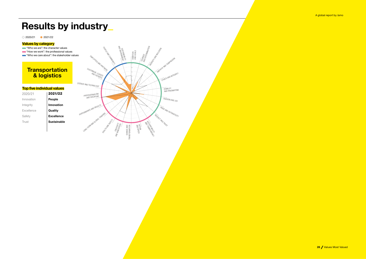2020/21 2021/22

#### Values by category

- **Who we are": the character values**
- **"How we work": the professional values**
- **Who we care about**": the stakeholder values

## Transportation & logistics

#### Top five individual values

- Innovation Integrity Excellence Safety Trust 2020/21 2021/22
	- Excellence Sustainable

People Innovation **Quality** 

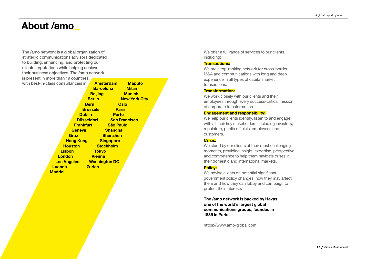# About /amo—

The /amo network is a global organization of strategic communications advisors dedicated to building, enhancing, and protecting our clients' reputations while helping achieve their business objectives. The /amo network is present in more than 19 countries, with best-in-class consultancies in **Amsterdam** 

|                                  |                            | <b>Barcelona</b> | <b>Milan</b>         |
|----------------------------------|----------------------------|------------------|----------------------|
|                                  | <b>Beijing</b>             |                  | <b>Munich</b>        |
|                                  | <b>Berlin Berlin</b>       |                  | <b>New York City</b> |
|                                  | <b>Bern</b>                | <b>Oslo</b>      |                      |
|                                  | <b>Brussels</b>            | <b>Paris</b>     |                      |
|                                  | <b>Dublin</b>              | <b>Porto</b>     |                      |
|                                  | Düsseldorf San Francisco   |                  |                      |
|                                  | <b>Frankfurt São Paulo</b> |                  |                      |
| <b>Geneva</b>                    |                            | <b>Shanghai</b>  |                      |
| <b>Graz</b>                      |                            | <b>Shenzhen</b>  |                      |
|                                  | <b>Hong Kong Singapore</b> |                  |                      |
| <b>Houston</b>                   | <b>Stockholm</b>           |                  |                      |
| <b>Lisbon</b>                    | <b>Tokyo</b>               |                  |                      |
| <b>London</b>                    | <b>Vienna</b>              |                  |                      |
| <b>Los Angeles Washington DC</b> |                            |                  |                      |
| <b>Luanda</b>                    | <b>Zurich</b>              |                  |                      |
| <b>Madrid</b>                    |                            |                  |                      |
|                                  |                            |                  |                      |

**Maputo** 

We offer a full range of services to our clients, including:

#### Transactions:

We are a top-ranking network for cross-border M&A and communications with long and deep experience in all types of capital market transactions.

#### Transformation:

We work closely with our clients and their employees through every success-critical mission of corporate transformation.

#### **Engagement and responsibility:**

We help our clients identify, listen to and engage with all their key stakeholders, including investors, regulators, public officials, employees and customers.

### Crisis:

We stand by our clients at their most challenging moments, providing insight, expertise, perspective and competence to help them navigate crises in their domestic and international markets.

#### Policy:

We advise clients on potential significant government policy changes, how they may affect them and how they can lobby and campaign to protect their interests

The /amo network is backed by Havas, one of the world's largest global communications groups, founded in 1835 in Paris.

https://www.amo-global.com